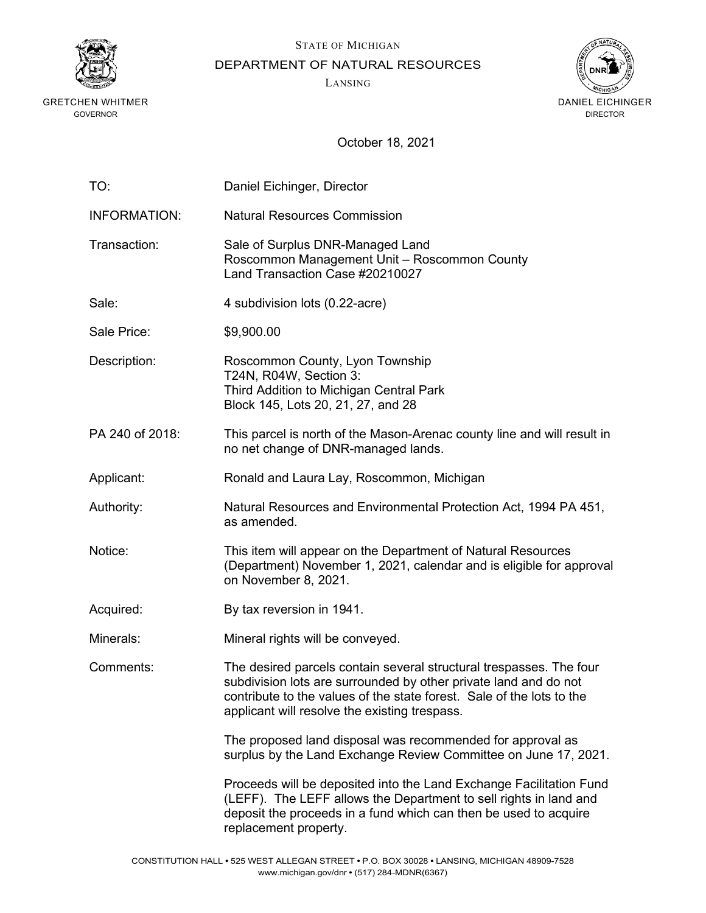

STATE OF MICHIGAN

DEPARTMENT OF NATURAL RESOURCES

LANSING



| TO:                 | Daniel Eichinger, Director                                                                                                                                                                                                                                        |
|---------------------|-------------------------------------------------------------------------------------------------------------------------------------------------------------------------------------------------------------------------------------------------------------------|
| <b>INFORMATION:</b> | <b>Natural Resources Commission</b>                                                                                                                                                                                                                               |
| Transaction:        | Sale of Surplus DNR-Managed Land<br>Roscommon Management Unit - Roscommon County<br>Land Transaction Case #20210027                                                                                                                                               |
| Sale:               | 4 subdivision lots (0.22-acre)                                                                                                                                                                                                                                    |
| Sale Price:         | \$9,900.00                                                                                                                                                                                                                                                        |
| Description:        | Roscommon County, Lyon Township<br>T24N, R04W, Section 3:<br>Third Addition to Michigan Central Park<br>Block 145, Lots 20, 21, 27, and 28                                                                                                                        |
| PA 240 of 2018:     | This parcel is north of the Mason-Arenac county line and will result in<br>no net change of DNR-managed lands.                                                                                                                                                    |
| Applicant:          | Ronald and Laura Lay, Roscommon, Michigan                                                                                                                                                                                                                         |
| Authority:          | Natural Resources and Environmental Protection Act, 1994 PA 451,<br>as amended.                                                                                                                                                                                   |
| Notice:             | This item will appear on the Department of Natural Resources<br>(Department) November 1, 2021, calendar and is eligible for approval<br>on November 8, 2021.                                                                                                      |
| Acquired:           | By tax reversion in 1941.                                                                                                                                                                                                                                         |
| Minerals:           | Mineral rights will be conveyed.                                                                                                                                                                                                                                  |
| Comments:           | The desired parcels contain several structural trespasses. The four<br>subdivision lots are surrounded by other private land and do not<br>contribute to the values of the state forest. Sale of the lots to the<br>applicant will resolve the existing trespass. |
|                     | The proposed land disposal was recommended for approval as<br>surplus by the Land Exchange Review Committee on June 17, 2021.                                                                                                                                     |
|                     | Proceeds will be deposited into the Land Exchange Facilitation Fund<br>(LEFF). The LEFF allows the Department to sell rights in land and<br>deposit the proceeds in a fund which can then be used to acquire<br>replacement property.                             |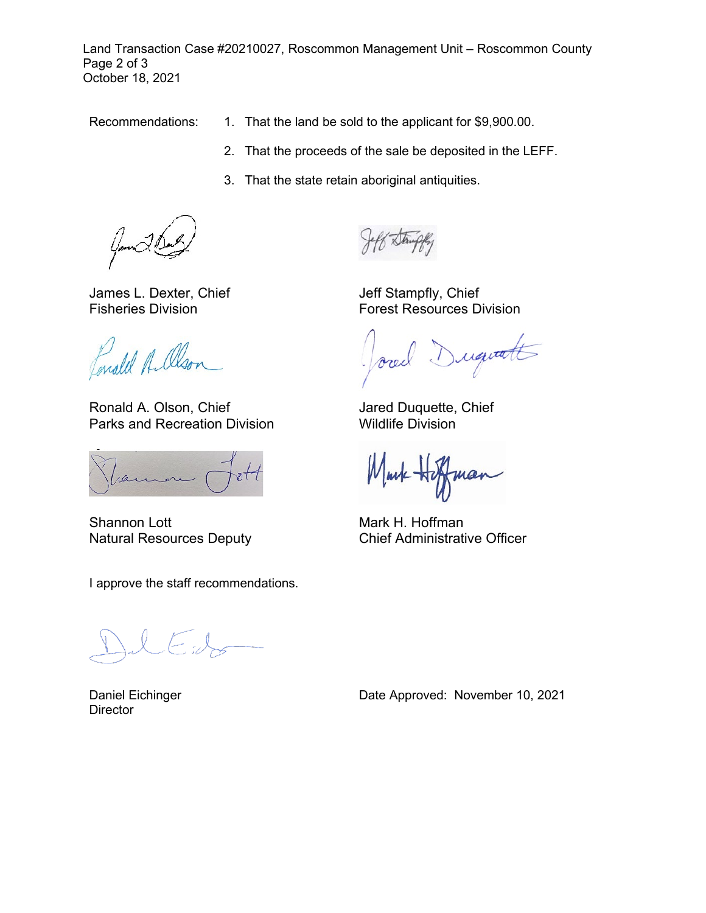Land Transaction Case #20210027, Roscommon Management Unit – Roscommon County Page 2 of 3 October 18, 2021

- Recommendations: 1. That the land be sold to the applicant for \$9,900.00.
	- 2. That the proceeds of the sale be deposited in the LEFF.
	- 3. That the state retain aboriginal antiquities.

James L. Dexter, Chief Fisheries Division

Enald Albon

Ronald A. Olson, Chief Parks and Recreation Division

Shannon Lott Natural Resources Deputy

I approve the staff recommendations.

Daniel Eichinger **Director** 

Jeff Stampfly, Chief Forest Resources Division

requests orec

Jared Duquette, Chief Wildlife Division

nan

Mark H. Hoffman Chief Administrative Officer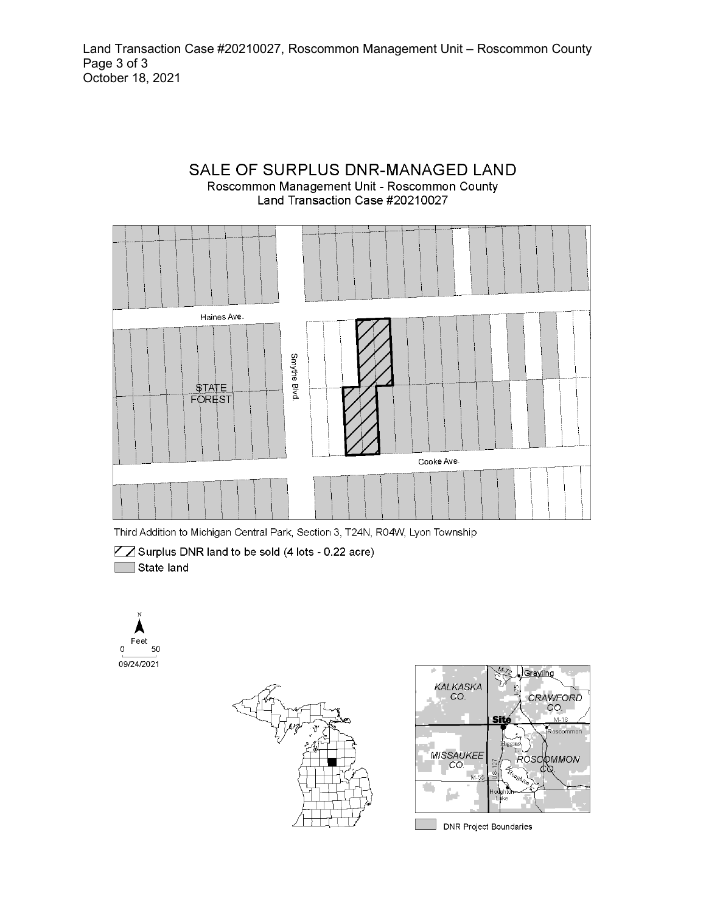#### SALE OF SURPLUS DNR-MANAGED LAND Roscommon Management Unit - Roscommon County Land Transaction Case #20210027



Third Addition to Michigan Central Park, Section 3, T24N, R04W, Lyon Township

■ Surplus DNR land to be sold (4 lots - 0.22 acre) State land





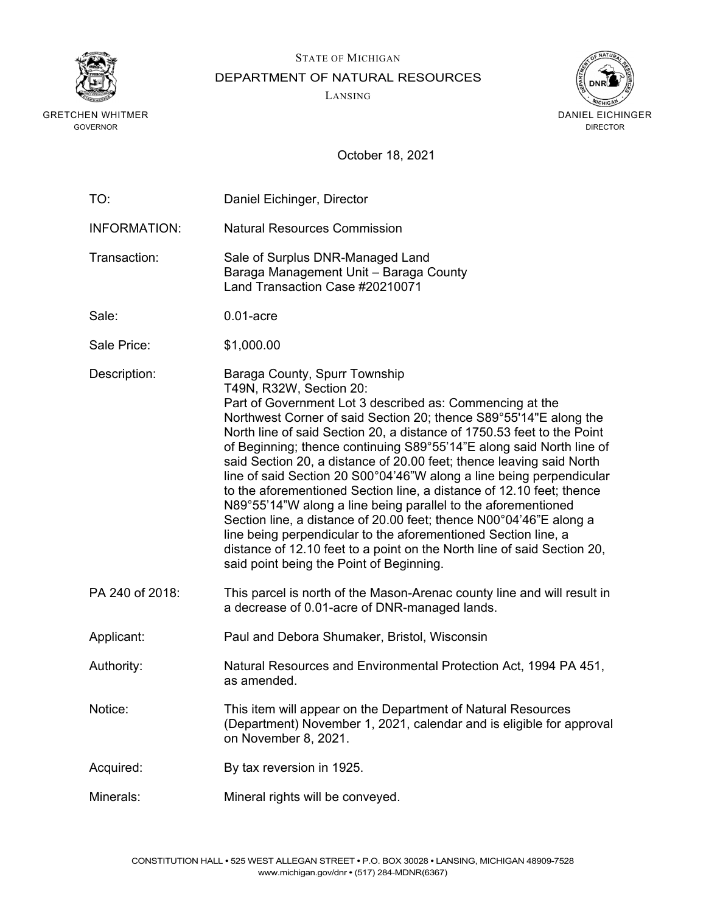

## STATE OF MICHIGAN DEPARTMENT OF NATURAL RESOURCES

LANSING



| TO:                 | Daniel Eichinger, Director                                                                                                                                                                                                                                                                                                                                                                                                                                                                                                                                                                                                                                                                                                                                                                                                                                                                          |
|---------------------|-----------------------------------------------------------------------------------------------------------------------------------------------------------------------------------------------------------------------------------------------------------------------------------------------------------------------------------------------------------------------------------------------------------------------------------------------------------------------------------------------------------------------------------------------------------------------------------------------------------------------------------------------------------------------------------------------------------------------------------------------------------------------------------------------------------------------------------------------------------------------------------------------------|
| <b>INFORMATION:</b> | <b>Natural Resources Commission</b>                                                                                                                                                                                                                                                                                                                                                                                                                                                                                                                                                                                                                                                                                                                                                                                                                                                                 |
| Transaction:        | Sale of Surplus DNR-Managed Land<br>Baraga Management Unit - Baraga County<br>Land Transaction Case #20210071                                                                                                                                                                                                                                                                                                                                                                                                                                                                                                                                                                                                                                                                                                                                                                                       |
| Sale:               | $0.01$ -acre                                                                                                                                                                                                                                                                                                                                                                                                                                                                                                                                                                                                                                                                                                                                                                                                                                                                                        |
| Sale Price:         | \$1,000.00                                                                                                                                                                                                                                                                                                                                                                                                                                                                                                                                                                                                                                                                                                                                                                                                                                                                                          |
| Description:        | Baraga County, Spurr Township<br>T49N, R32W, Section 20:<br>Part of Government Lot 3 described as: Commencing at the<br>Northwest Corner of said Section 20; thence S89°55'14"E along the<br>North line of said Section 20, a distance of 1750.53 feet to the Point<br>of Beginning; thence continuing S89°55'14"E along said North line of<br>said Section 20, a distance of 20.00 feet; thence leaving said North<br>line of said Section 20 S00°04'46"W along a line being perpendicular<br>to the aforementioned Section line, a distance of 12.10 feet; thence<br>N89°55'14"W along a line being parallel to the aforementioned<br>Section line, a distance of 20.00 feet; thence N00°04'46"E along a<br>line being perpendicular to the aforementioned Section line, a<br>distance of 12.10 feet to a point on the North line of said Section 20,<br>said point being the Point of Beginning. |
| PA 240 of 2018:     | This parcel is north of the Mason-Arenac county line and will result in<br>a decrease of 0.01-acre of DNR-managed lands.                                                                                                                                                                                                                                                                                                                                                                                                                                                                                                                                                                                                                                                                                                                                                                            |
| Applicant:          | Paul and Debora Shumaker, Bristol, Wisconsin                                                                                                                                                                                                                                                                                                                                                                                                                                                                                                                                                                                                                                                                                                                                                                                                                                                        |
| Authority:          | Natural Resources and Environmental Protection Act, 1994 PA 451,<br>as amended.                                                                                                                                                                                                                                                                                                                                                                                                                                                                                                                                                                                                                                                                                                                                                                                                                     |
| Notice:             | This item will appear on the Department of Natural Resources<br>(Department) November 1, 2021, calendar and is eligible for approval<br>on November 8, 2021.                                                                                                                                                                                                                                                                                                                                                                                                                                                                                                                                                                                                                                                                                                                                        |
| Acquired:           | By tax reversion in 1925.                                                                                                                                                                                                                                                                                                                                                                                                                                                                                                                                                                                                                                                                                                                                                                                                                                                                           |
| Minerals:           | Mineral rights will be conveyed.                                                                                                                                                                                                                                                                                                                                                                                                                                                                                                                                                                                                                                                                                                                                                                                                                                                                    |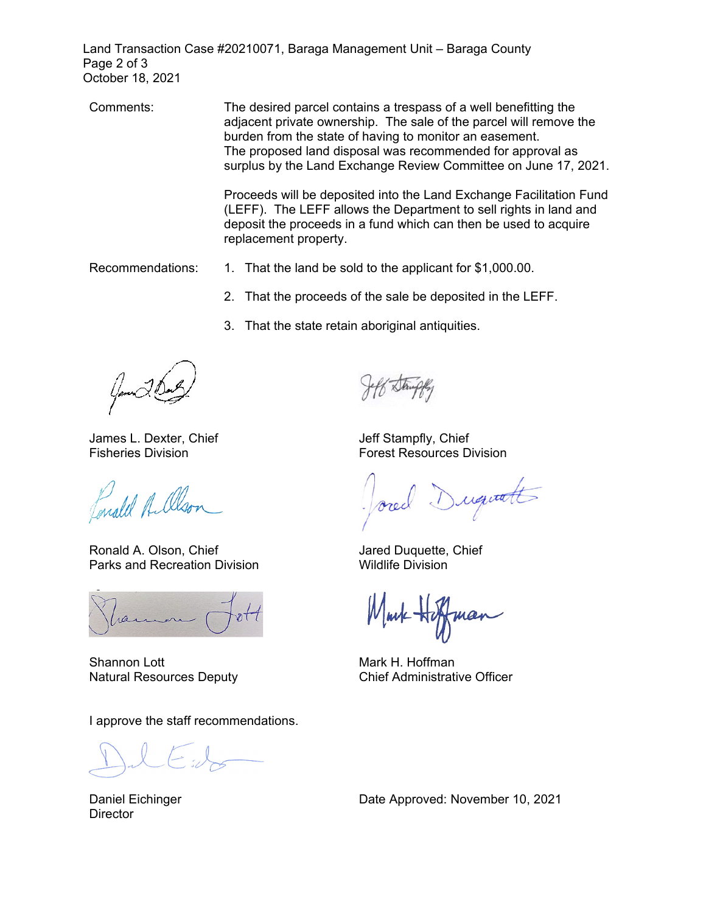Land Transaction Case #20210071, Baraga Management Unit – Baraga County Page 2 of 3 October 18, 2021

Comments: The desired parcel contains a trespass of a well benefitting the adjacent private ownership. The sale of the parcel will remove the burden from the state of having to monitor an easement. The proposed land disposal was recommended for approval as surplus by the Land Exchange Review Committee on June 17, 2021.

> Proceeds will be deposited into the Land Exchange Facilitation Fund (LEFF). The LEFF allows the Department to sell rights in land and deposit the proceeds in a fund which can then be used to acquire replacement property.

- Recommendations: 1. That the land be sold to the applicant for \$[1,000.00.](https://1,000.00)
	- 2. That the proceeds of the sale be deposited in the LEFF.
	- 3. That the state retain aboriginal antiquities.

James L. Dexter, Chief Jeff Stampfly, Chief

male Albon

Ronald A. Olson, Chief Government Controller and Recreation Division<br>Parks and Recreation Division Government Wildlife Division Parks and Recreation Division

Shannon Lott **Mark H. Hoffman** 

I approve the staff recommendations.

**Director** 

Fisheries Division **Forest Resources** Division

Dugutt

Natural Resources Deputy **Natural Resources Deputy** Chief Administrative Officer

Daniel Eichinger **Date Approved: November 10, 2021**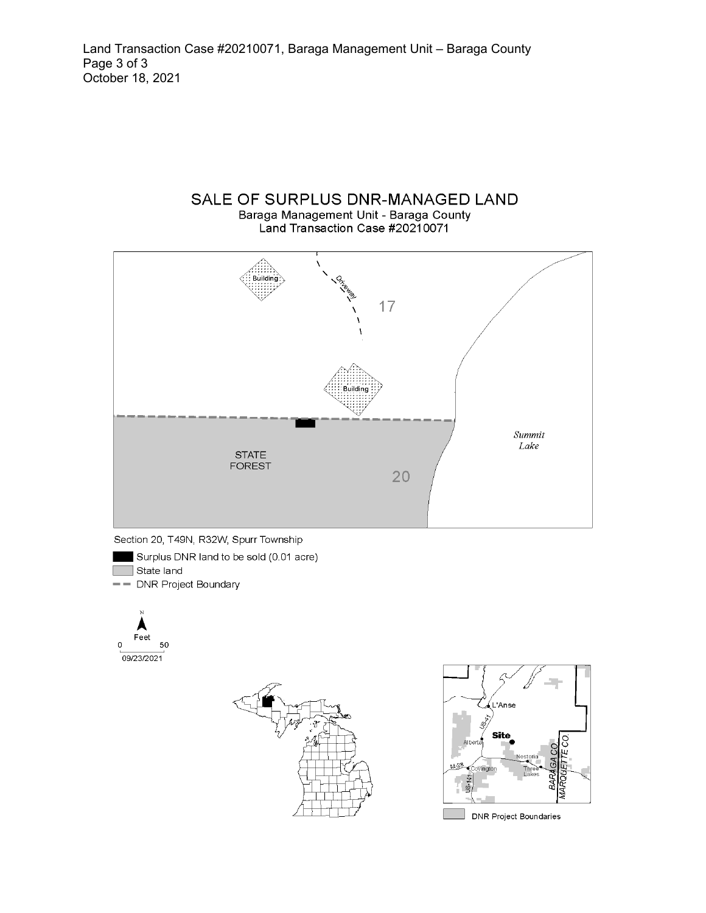## SALE OF SURPLUS DNR-MANAGED LAND Baraga Management Unit - Baraga County







- Surplus DNR land to be sold (0.01 acre)
- $\Box$  State land
- DNR Project Boundary





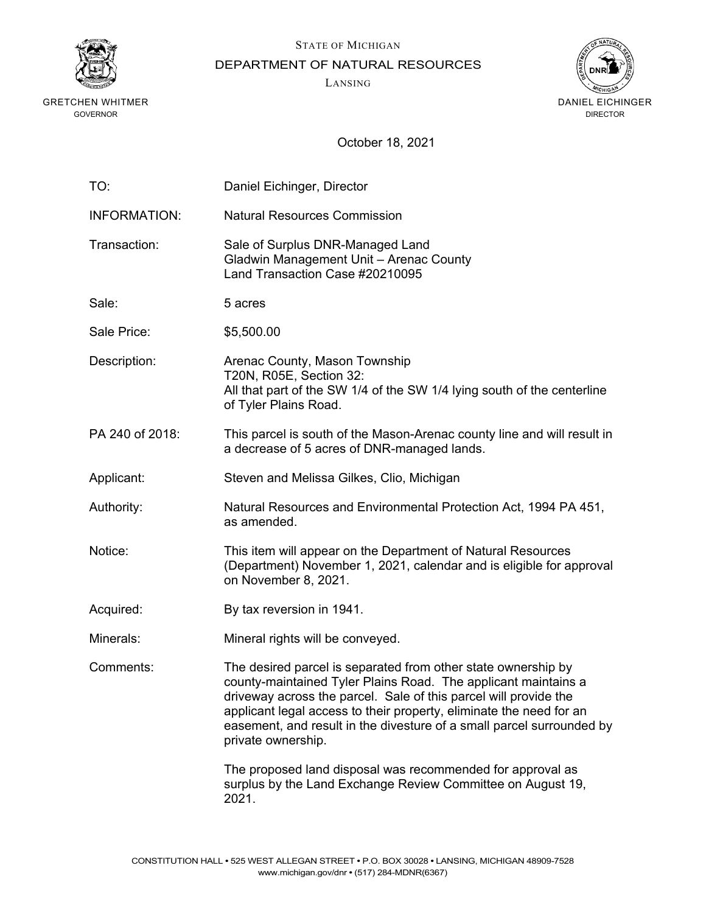

STATE OF MICHIGAN

DEPARTMENT OF NATURAL RESOURCES

LANSING



| TO:                 | Daniel Eichinger, Director                                                                                                                                                                                                                                                                                                                                                |
|---------------------|---------------------------------------------------------------------------------------------------------------------------------------------------------------------------------------------------------------------------------------------------------------------------------------------------------------------------------------------------------------------------|
| <b>INFORMATION:</b> | <b>Natural Resources Commission</b>                                                                                                                                                                                                                                                                                                                                       |
| Transaction:        | Sale of Surplus DNR-Managed Land<br>Gladwin Management Unit - Arenac County<br>Land Transaction Case #20210095                                                                                                                                                                                                                                                            |
| Sale:               | 5 acres                                                                                                                                                                                                                                                                                                                                                                   |
| Sale Price:         | \$5,500.00                                                                                                                                                                                                                                                                                                                                                                |
| Description:        | Arenac County, Mason Township<br>T20N, R05E, Section 32:<br>All that part of the SW 1/4 of the SW 1/4 lying south of the centerline<br>of Tyler Plains Road.                                                                                                                                                                                                              |
| PA 240 of 2018:     | This parcel is south of the Mason-Arenac county line and will result in<br>a decrease of 5 acres of DNR-managed lands.                                                                                                                                                                                                                                                    |
| Applicant:          | Steven and Melissa Gilkes, Clio, Michigan                                                                                                                                                                                                                                                                                                                                 |
| Authority:          | Natural Resources and Environmental Protection Act, 1994 PA 451,<br>as amended.                                                                                                                                                                                                                                                                                           |
| Notice:             | This item will appear on the Department of Natural Resources<br>(Department) November 1, 2021, calendar and is eligible for approval<br>on November 8, 2021.                                                                                                                                                                                                              |
| Acquired:           | By tax reversion in 1941.                                                                                                                                                                                                                                                                                                                                                 |
| Minerals:           | Mineral rights will be conveyed.                                                                                                                                                                                                                                                                                                                                          |
| Comments:           | The desired parcel is separated from other state ownership by<br>county-maintained Tyler Plains Road. The applicant maintains a<br>driveway across the parcel. Sale of this parcel will provide the<br>applicant legal access to their property, eliminate the need for an<br>easement, and result in the divesture of a small parcel surrounded by<br>private ownership. |
|                     | The proposed land disposal was recommended for approval as<br>surplus by the Land Exchange Review Committee on August 19,<br>2021.                                                                                                                                                                                                                                        |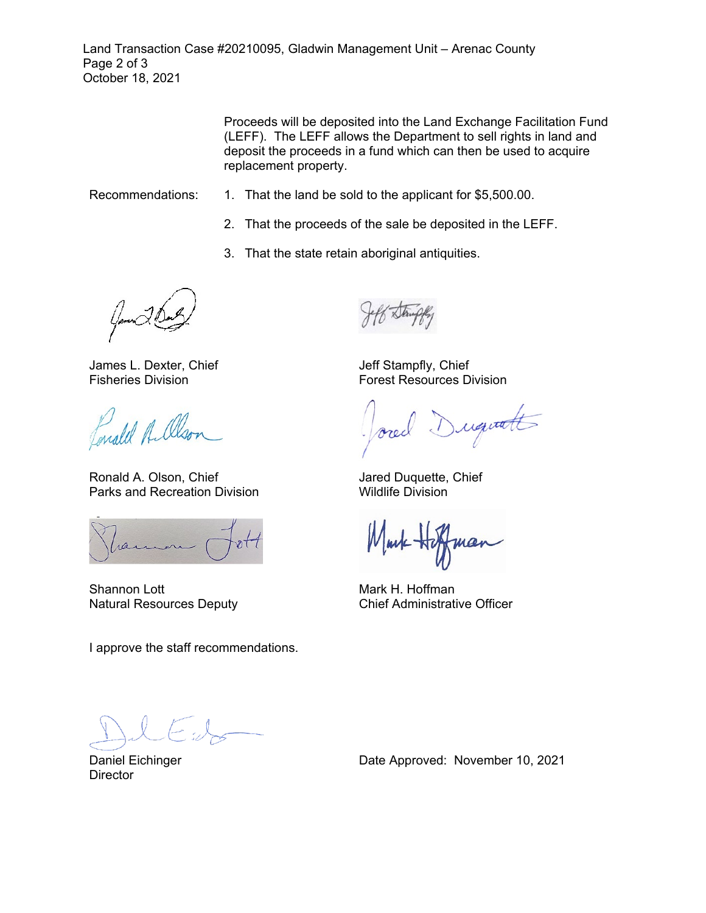Land Transaction Case #20210095, Gladwin Management Unit – Arenac County Page 2 of 3 October 18, 2021

> Proceeds will be deposited into the Land Exchange Facilitation Fund (LEFF). The LEFF allows the Department to sell rights in land and deposit the proceeds in a fund which can then be used to acquire replacement property.

- Recommendations: 1. That the land be sold to the applicant for \$5,500.00.
	- 2. That the proceeds of the sale be deposited in the LEFF.
	- 3. That the state retain aboriginal antiquities.

James L. Dexter, Chief Fisheries Division

Enald A. Olson

Ronald A. Olson, Chief Parks and Recreation Division

ran

Shannon Lott Natural Resources Deputy

I approve the staff recommendations.

Jeff Stampfly, Chief Forest Resources Division

Duquatt

Jared Duquette, Chief Wildlife Division

Mark H. Hoffman Chief Administrative Officer

Daniel Eichinger **Director**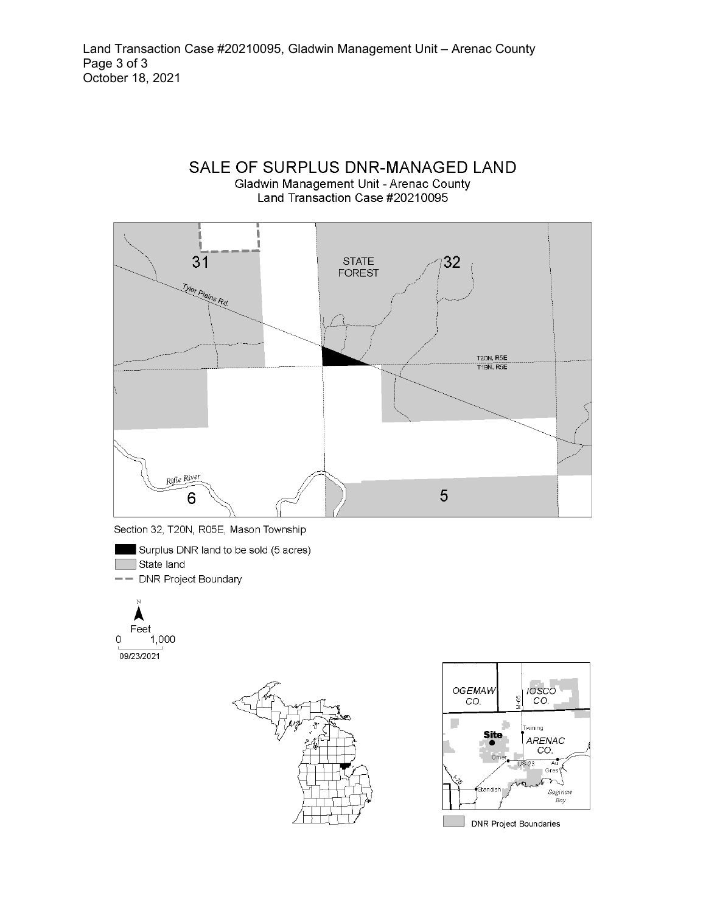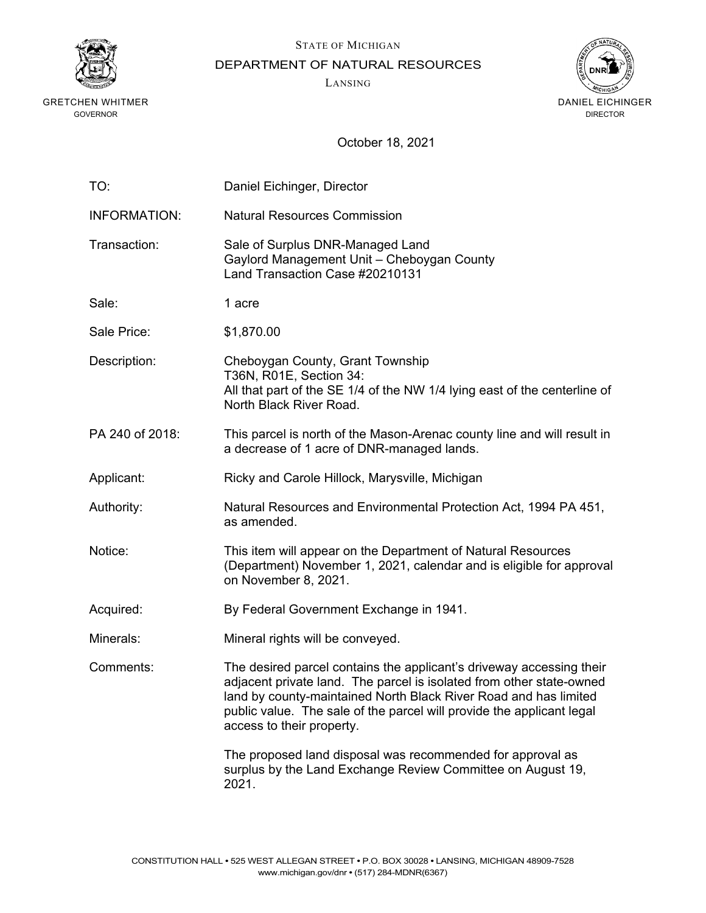

DEPARTMENT OF NATURAL RESOURCES

LANSING

STATE OF MICHIGAN



| TO:                 | Daniel Eichinger, Director                                                                                                                                                                                                                                                                                             |
|---------------------|------------------------------------------------------------------------------------------------------------------------------------------------------------------------------------------------------------------------------------------------------------------------------------------------------------------------|
| <b>INFORMATION:</b> | <b>Natural Resources Commission</b>                                                                                                                                                                                                                                                                                    |
| Transaction:        | Sale of Surplus DNR-Managed Land<br>Gaylord Management Unit - Cheboygan County<br>Land Transaction Case #20210131                                                                                                                                                                                                      |
| Sale:               | 1 acre                                                                                                                                                                                                                                                                                                                 |
| Sale Price:         | \$1,870.00                                                                                                                                                                                                                                                                                                             |
| Description:        | Cheboygan County, Grant Township<br>T36N, R01E, Section 34:<br>All that part of the SE 1/4 of the NW 1/4 lying east of the centerline of<br>North Black River Road.                                                                                                                                                    |
| PA 240 of 2018:     | This parcel is north of the Mason-Arenac county line and will result in<br>a decrease of 1 acre of DNR-managed lands.                                                                                                                                                                                                  |
| Applicant:          | Ricky and Carole Hillock, Marysville, Michigan                                                                                                                                                                                                                                                                         |
| Authority:          | Natural Resources and Environmental Protection Act, 1994 PA 451,<br>as amended.                                                                                                                                                                                                                                        |
| Notice:             | This item will appear on the Department of Natural Resources<br>(Department) November 1, 2021, calendar and is eligible for approval<br>on November 8, 2021.                                                                                                                                                           |
| Acquired:           | By Federal Government Exchange in 1941.                                                                                                                                                                                                                                                                                |
| Minerals:           | Mineral rights will be conveyed.                                                                                                                                                                                                                                                                                       |
| Comments:           | The desired parcel contains the applicant's driveway accessing their<br>adjacent private land. The parcel is isolated from other state-owned<br>land by county-maintained North Black River Road and has limited<br>public value. The sale of the parcel will provide the applicant legal<br>access to their property. |
|                     | The proposed land disposal was recommended for approval as<br>surplus by the Land Exchange Review Committee on August 19,<br>2021.                                                                                                                                                                                     |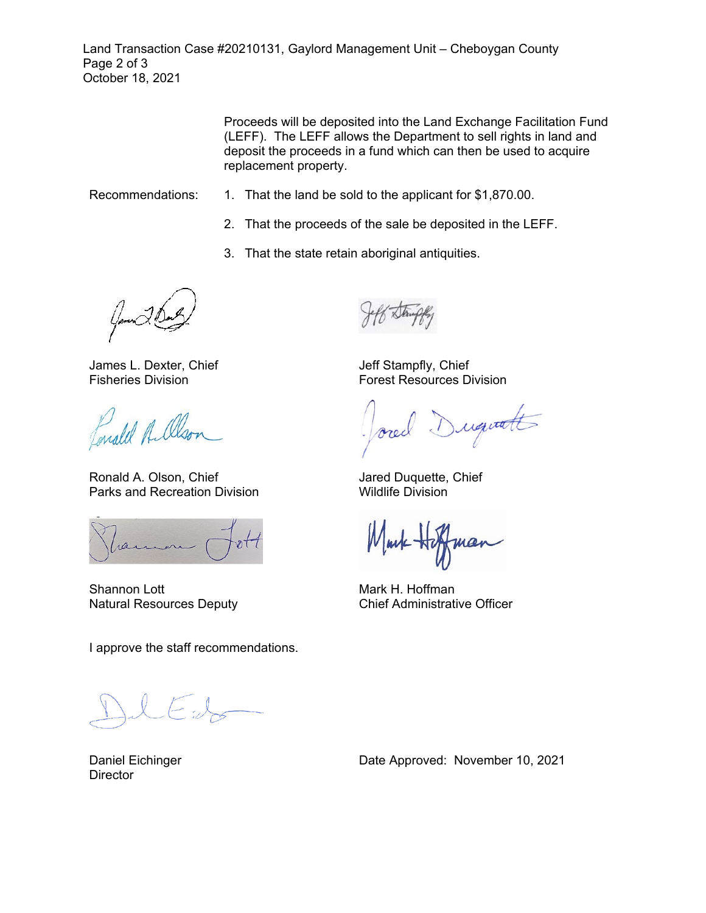Land Transaction Case #20210131, Gaylord Management Unit – Cheboygan County Page 2 of 3 October 18, 2021

> Proceeds will be deposited into the Land Exchange Facilitation Fund (LEFF). The LEFF allows the Department to sell rights in land and deposit the proceeds in a fund which can then be used to acquire replacement property.

- Recommendations: 1. That the land be sold to the applicant for \$1,870.00.
	- 2. That the proceeds of the sale be deposited in the LEFF.
	- 3. That the state retain aboriginal antiquities.

James L. Dexter, Chief Fisheries Division

Enald A. Olson

Ronald A. Olson, Chief Parks and Recreation Division

ran

Shannon Lott Natural Resources Deputy

I approve the staff recommendations.

 $\leftarrow$  .

Daniel Eichinger **Director** 

Date Approved: November 10, 2021

Jeff Stampfly, Chief Forest Resources Division

Duquatt

Jared Duquette, Chief Wildlife Division

Mark H. Hoffman Chief Administrative Officer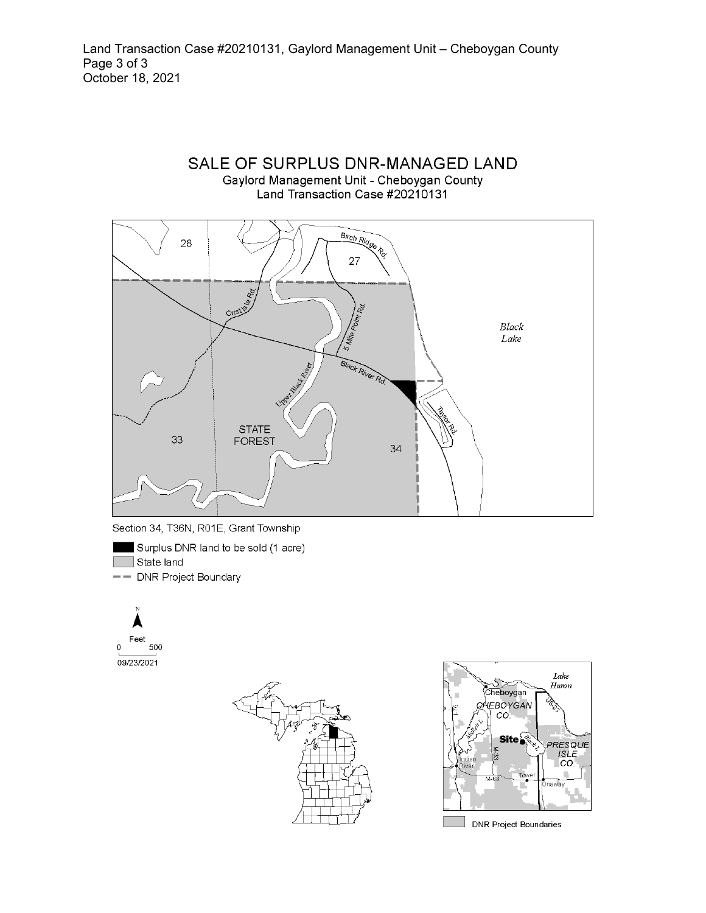



Surplus DNR land to be sold (1 acre)

 $\Box$  State land

-- DNR Project Boundary







**DNR Project Boundaries**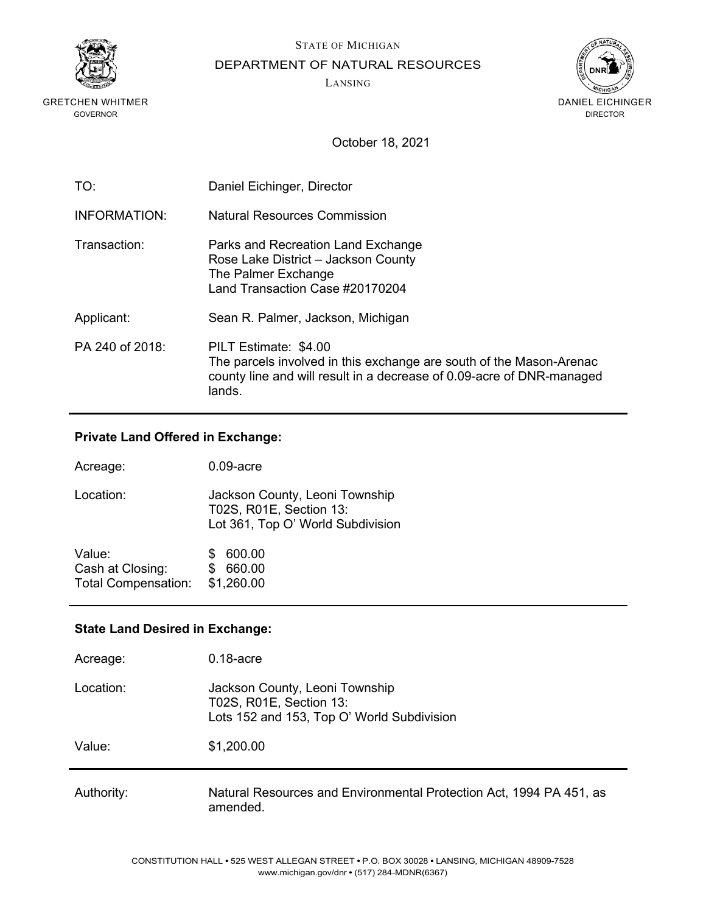

STATE OF MICHIGAN

DEPARTMENT OF NATURAL RESOURCES

LANSING



October 18, 2021

| TO:             | Daniel Eichinger, Director                                                                                                                                                      |
|-----------------|---------------------------------------------------------------------------------------------------------------------------------------------------------------------------------|
| INFORMATION:    | Natural Resources Commission                                                                                                                                                    |
| Transaction:    | Parks and Recreation Land Exchange<br>Rose Lake District - Jackson County<br>The Palmer Exchange<br>Land Transaction Case #20170204                                             |
| Applicant:      | Sean R. Palmer, Jackson, Michigan                                                                                                                                               |
| PA 240 of 2018: | PILT Estimate: \$4.00<br>The parcels involved in this exchange are south of the Mason-Arenac<br>county line and will result in a decrease of 0.09-acre of DNR-managed<br>lands. |

### **Private Land Offered in Exchange:**

| Acreage:                                                 | $0.09$ -acre                                                                                   |
|----------------------------------------------------------|------------------------------------------------------------------------------------------------|
| Location:                                                | Jackson County, Leoni Township<br>T02S, R01E, Section 13:<br>Lot 361, Top O' World Subdivision |
| Value:<br>Cash at Closing:<br><b>Total Compensation:</b> | 600.00<br>660.00<br>\$1,260.00                                                                 |

### **State Land Desired in Exchange:**

| Acreage:   | $0.18$ -acre                                                                                            |
|------------|---------------------------------------------------------------------------------------------------------|
| Location:  | Jackson County, Leoni Township<br>T02S, R01E, Section 13:<br>Lots 152 and 153, Top O' World Subdivision |
| Value:     | \$1,200.00                                                                                              |
| Authority: | Natural Resources and Environmental Protection Act, 1994 PA 451, as<br>amended.                         |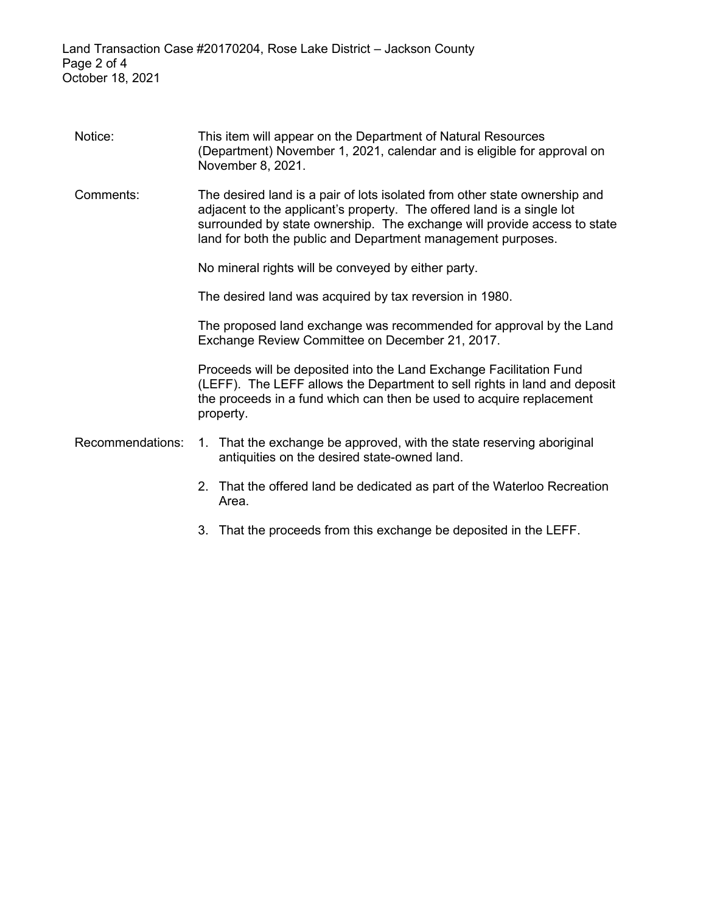| Notice:          | This item will appear on the Department of Natural Resources<br>(Department) November 1, 2021, calendar and is eligible for approval on<br>November 8, 2021.                                                                                                                                     |
|------------------|--------------------------------------------------------------------------------------------------------------------------------------------------------------------------------------------------------------------------------------------------------------------------------------------------|
| Comments:        | The desired land is a pair of lots isolated from other state ownership and<br>adjacent to the applicant's property. The offered land is a single lot<br>surrounded by state ownership. The exchange will provide access to state<br>land for both the public and Department management purposes. |
|                  | No mineral rights will be conveyed by either party.                                                                                                                                                                                                                                              |
|                  | The desired land was acquired by tax reversion in 1980.                                                                                                                                                                                                                                          |
|                  | The proposed land exchange was recommended for approval by the Land<br>Exchange Review Committee on December 21, 2017.                                                                                                                                                                           |
|                  | Proceeds will be deposited into the Land Exchange Facilitation Fund<br>(LEFF). The LEFF allows the Department to sell rights in land and deposit<br>the proceeds in a fund which can then be used to acquire replacement<br>property.                                                            |
| Recommendations: | 1. That the exchange be approved, with the state reserving aboriginal<br>antiquities on the desired state-owned land.                                                                                                                                                                            |
|                  | 2. That the offered land be dedicated as part of the Waterloo Recreation<br>Area.                                                                                                                                                                                                                |
|                  | 3. That the proceeds from this exchange be deposited in the LEFF.                                                                                                                                                                                                                                |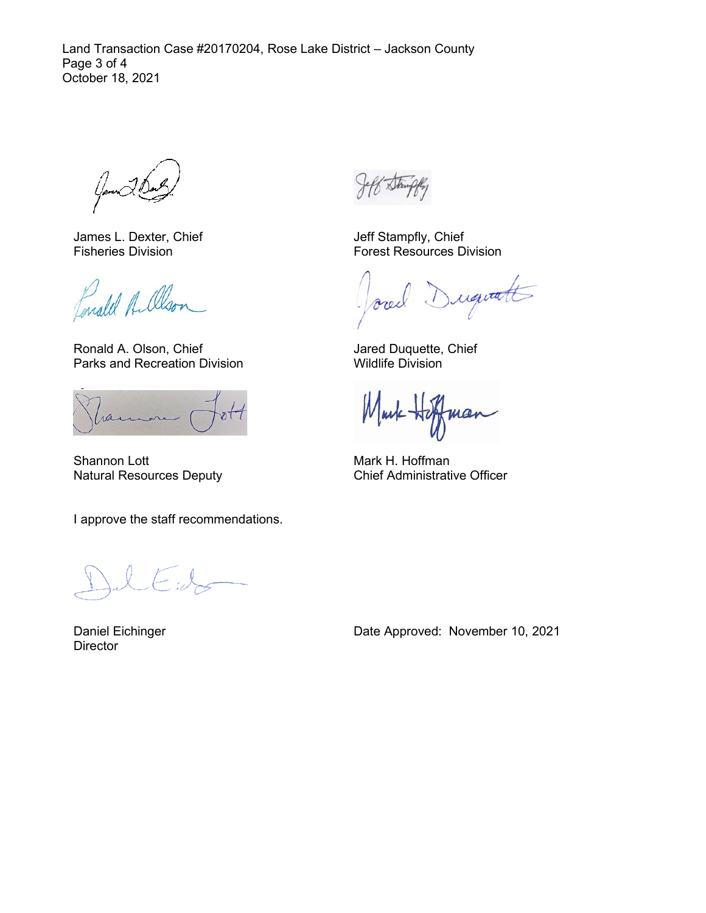Land Transaction Case #20170204, Rose Lake District – Jackson County Page 3 of 4 October 18, 2021

James L. Dexter, Chief Fisheries Division

Lonald A. Olso.

Ronald A. Olson, Chief Parks and Recreation Division

ran

Shannon Lott Natural Resources Deputy

I approve the staff recommendations.

Daniel Eichinger **Director** 

Jeff Stampfly, Chief Forest Resources Division

requalt ore

Jared Duquette, Chief Wildlife Division

Mark Ho man

Mark H. Hoffman Chief Administrative Officer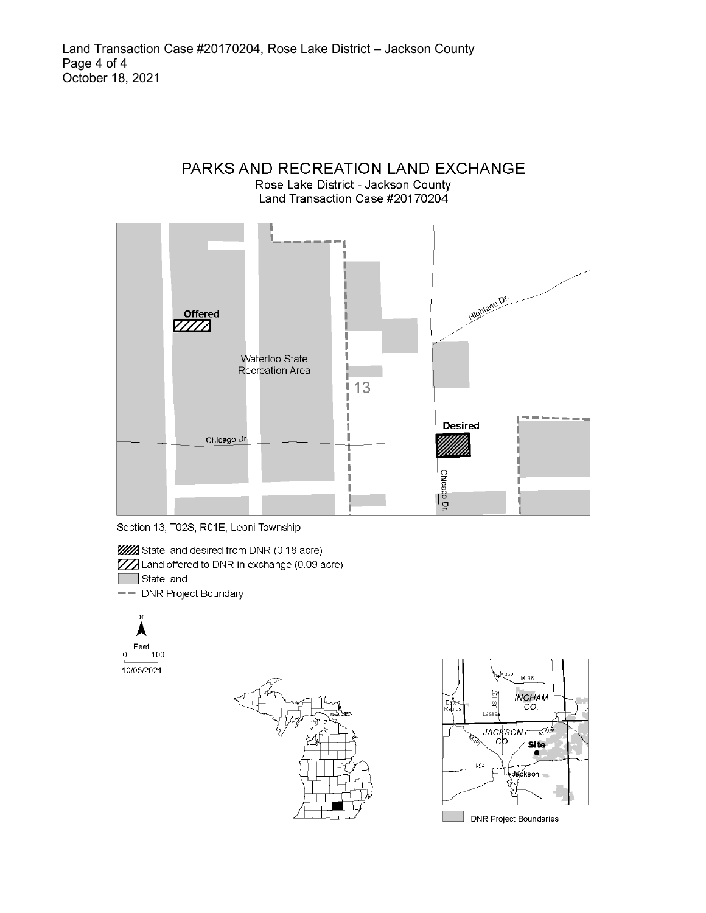





**WA** State land desired from DNR (0.18 acre)

ZZZ Land offered to DNR in exchange (0.09 acre)

State land

- DNR Project Boundary





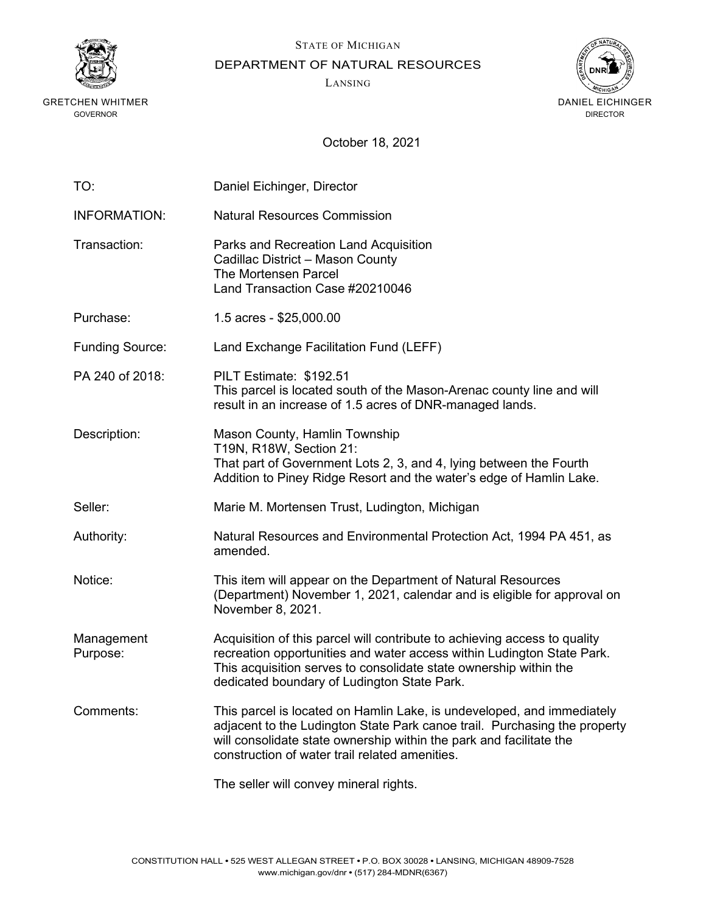

STATE OF MICHIGAN

DEPARTMENT OF NATURAL RESOURCES

LANSING



| TO:                    | Daniel Eichinger, Director                                                                                                                                                                                                                                                   |
|------------------------|------------------------------------------------------------------------------------------------------------------------------------------------------------------------------------------------------------------------------------------------------------------------------|
| <b>INFORMATION:</b>    | <b>Natural Resources Commission</b>                                                                                                                                                                                                                                          |
| Transaction:           | Parks and Recreation Land Acquisition<br>Cadillac District - Mason County<br><b>The Mortensen Parcel</b><br>Land Transaction Case #20210046                                                                                                                                  |
| Purchase:              | 1.5 acres - \$25,000.00                                                                                                                                                                                                                                                      |
| <b>Funding Source:</b> | Land Exchange Facilitation Fund (LEFF)                                                                                                                                                                                                                                       |
| PA 240 of 2018:        | PILT Estimate: \$192.51<br>This parcel is located south of the Mason-Arenac county line and will<br>result in an increase of 1.5 acres of DNR-managed lands.                                                                                                                 |
| Description:           | Mason County, Hamlin Township<br>T19N, R18W, Section 21:<br>That part of Government Lots 2, 3, and 4, lying between the Fourth<br>Addition to Piney Ridge Resort and the water's edge of Hamlin Lake.                                                                        |
| Seller:                | Marie M. Mortensen Trust, Ludington, Michigan                                                                                                                                                                                                                                |
| Authority:             | Natural Resources and Environmental Protection Act, 1994 PA 451, as<br>amended.                                                                                                                                                                                              |
| Notice:                | This item will appear on the Department of Natural Resources<br>(Department) November 1, 2021, calendar and is eligible for approval on<br>November 8, 2021.                                                                                                                 |
| Management<br>Purpose: | Acquisition of this parcel will contribute to achieving access to quality<br>recreation opportunities and water access within Ludington State Park.<br>This acquisition serves to consolidate state ownership within the<br>dedicated boundary of Ludington State Park.      |
| Comments:              | This parcel is located on Hamlin Lake, is undeveloped, and immediately<br>adjacent to the Ludington State Park canoe trail. Purchasing the property<br>will consolidate state ownership within the park and facilitate the<br>construction of water trail related amenities. |
|                        | The seller will convey mineral rights.                                                                                                                                                                                                                                       |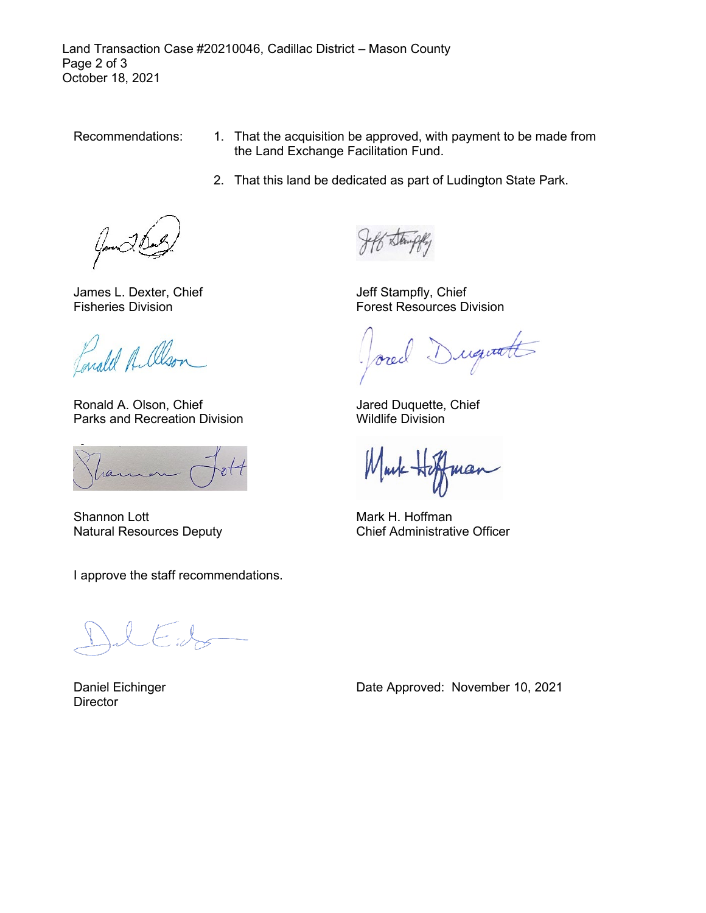Land Transaction Case #20210046, Cadillac District – Mason County Page 2 of 3 October 18, 2021

- Recommendations: 1. That the acquisition be approved, with payment to be made from the Land Exchange Facilitation Fund.
	- 2. That this land be dedicated as part of Ludington State Park.

James L. Dexter, Chief Fisheries Division

Lonald A. Olso.

Ronald A. Olson, Chief Parks and Recreation Division

ran

Shannon Lott Natural Resources Deputy

I approve the staff recommendations.

Daniel Eichinger **Director** 

Jeff Stampfly, Chief Forest Resources Division

Duquetts

Jared Duquette, Chief Wildlife Division

Mark Ho  $\mu a$ r

Mark H. Hoffman Chief Administrative Officer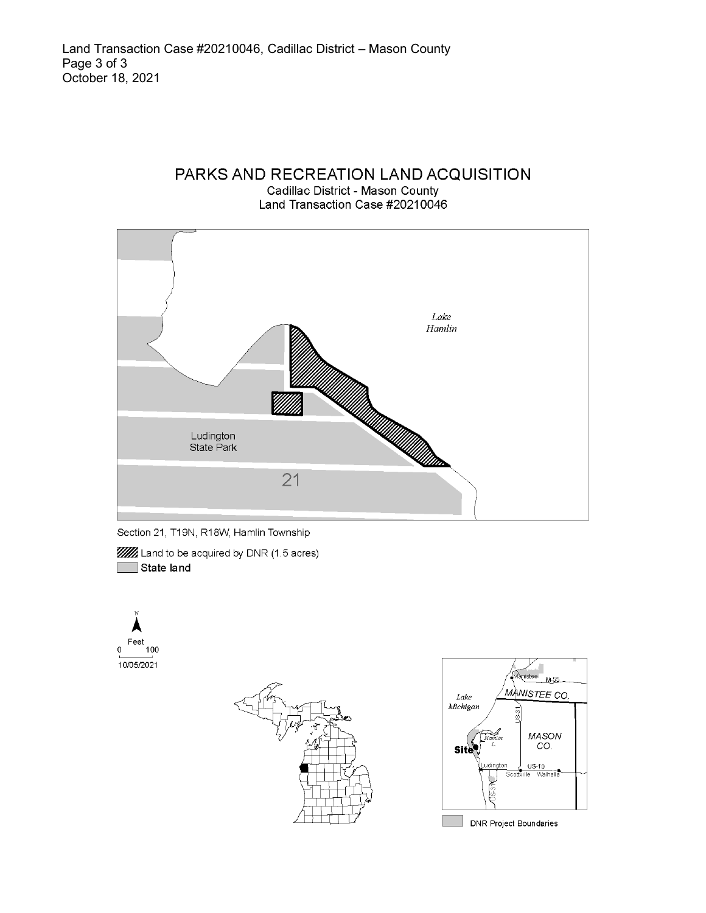# PARKS AND RECREATION LAND ACQUISITION

Cadillac District - Mason County Land Transaction Case #20210046





**WA** Land to be acquired by DNR (1.5 acres) State land







**DNR Project Boundaries**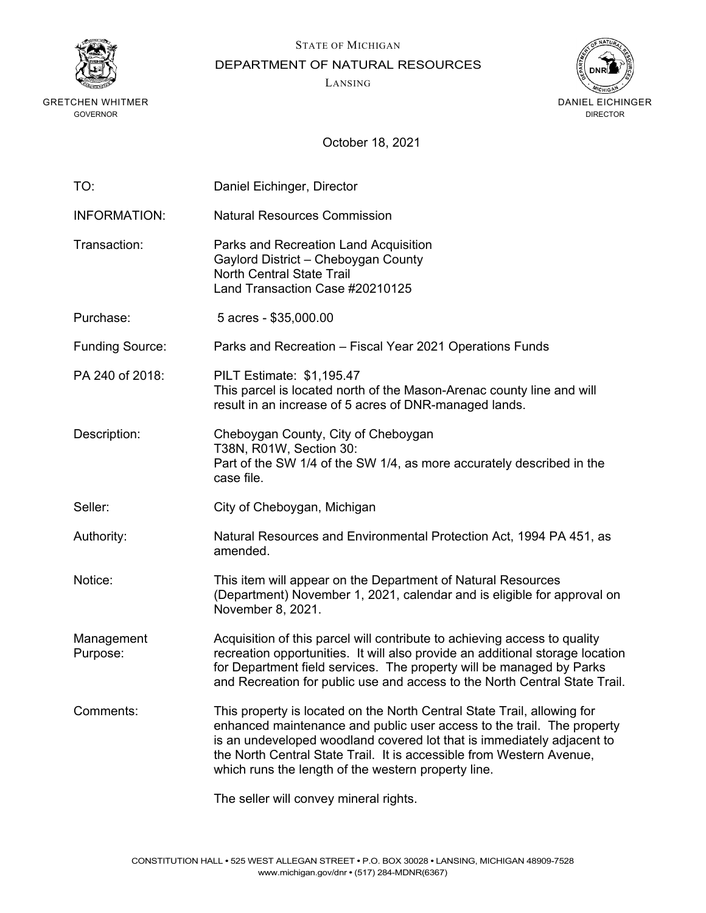



DEPARTMENT OF NATURAL RESOURCES

LANSING



| TO:                    | Daniel Eichinger, Director                                                                                                                                                                                                                                                                                                                                 |
|------------------------|------------------------------------------------------------------------------------------------------------------------------------------------------------------------------------------------------------------------------------------------------------------------------------------------------------------------------------------------------------|
| <b>INFORMATION:</b>    | <b>Natural Resources Commission</b>                                                                                                                                                                                                                                                                                                                        |
| Transaction:           | Parks and Recreation Land Acquisition<br>Gaylord District - Cheboygan County<br><b>North Central State Trail</b><br>Land Transaction Case #20210125                                                                                                                                                                                                        |
| Purchase:              | 5 acres - \$35,000.00                                                                                                                                                                                                                                                                                                                                      |
| <b>Funding Source:</b> | Parks and Recreation – Fiscal Year 2021 Operations Funds                                                                                                                                                                                                                                                                                                   |
| PA 240 of 2018:        | PILT Estimate: \$1,195.47<br>This parcel is located north of the Mason-Arenac county line and will<br>result in an increase of 5 acres of DNR-managed lands.                                                                                                                                                                                               |
| Description:           | Cheboygan County, City of Cheboygan<br>T38N, R01W, Section 30:<br>Part of the SW 1/4 of the SW 1/4, as more accurately described in the<br>case file.                                                                                                                                                                                                      |
| Seller:                | City of Cheboygan, Michigan                                                                                                                                                                                                                                                                                                                                |
| Authority:             | Natural Resources and Environmental Protection Act, 1994 PA 451, as<br>amended.                                                                                                                                                                                                                                                                            |
| Notice:                | This item will appear on the Department of Natural Resources<br>(Department) November 1, 2021, calendar and is eligible for approval on<br>November 8, 2021.                                                                                                                                                                                               |
| Management<br>Purpose: | Acquisition of this parcel will contribute to achieving access to quality<br>recreation opportunities. It will also provide an additional storage location<br>for Department field services. The property will be managed by Parks<br>and Recreation for public use and access to the North Central State Trail.                                           |
| Comments:              | This property is located on the North Central State Trail, allowing for<br>enhanced maintenance and public user access to the trail. The property<br>is an undeveloped woodland covered lot that is immediately adjacent to<br>the North Central State Trail. It is accessible from Western Avenue,<br>which runs the length of the western property line. |
|                        | The seller will convey mineral rights.                                                                                                                                                                                                                                                                                                                     |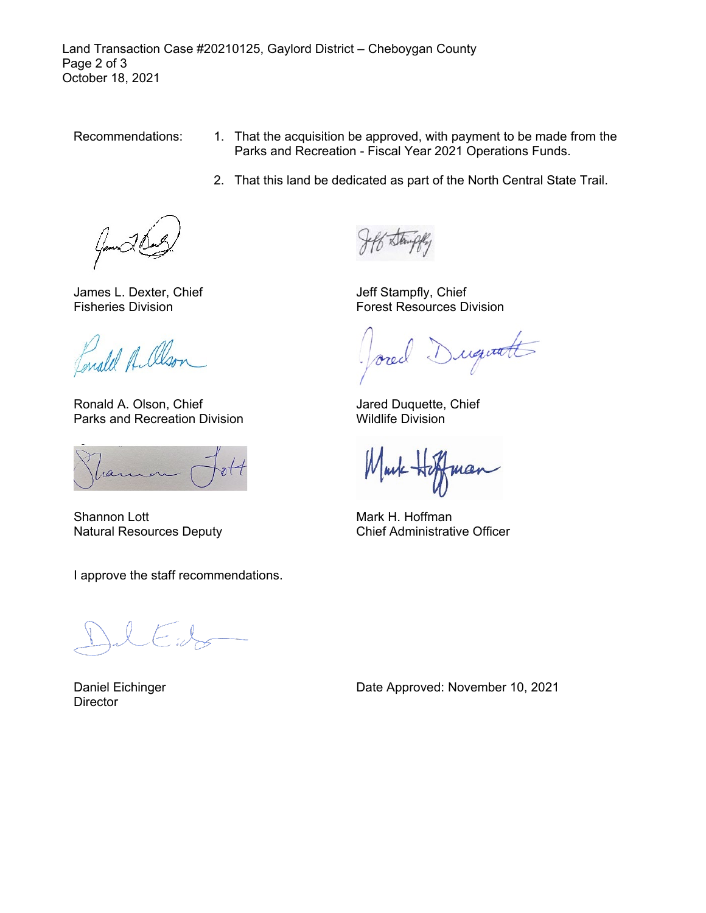Land Transaction Case #20210125, Gaylord District – Cheboygan County Page 2 of 3 October 18, 2021

- Recommendations: 1. That the acquisition be approved, with payment to be made from the Parks and Recreation - Fiscal Year 2021 Operations Funds.
	- 2. That this land be dedicated as part of the North Central State Trail.

James L. Dexter, Chief Fisheries Division

Enald A. Olso.

Ronald A. Olson, Chief Parks and Recreation Division

ran

Shannon Lott Natural Resources Deputy

I approve the staff recommendations.

Daniel Eichinger **Director** 

Jeff Stampfly, Chief Forest Resources Division

Duquetts

Jared Duquette, Chief Wildlife Division

Mark He mar

Mark H. Hoffman Chief Administrative Officer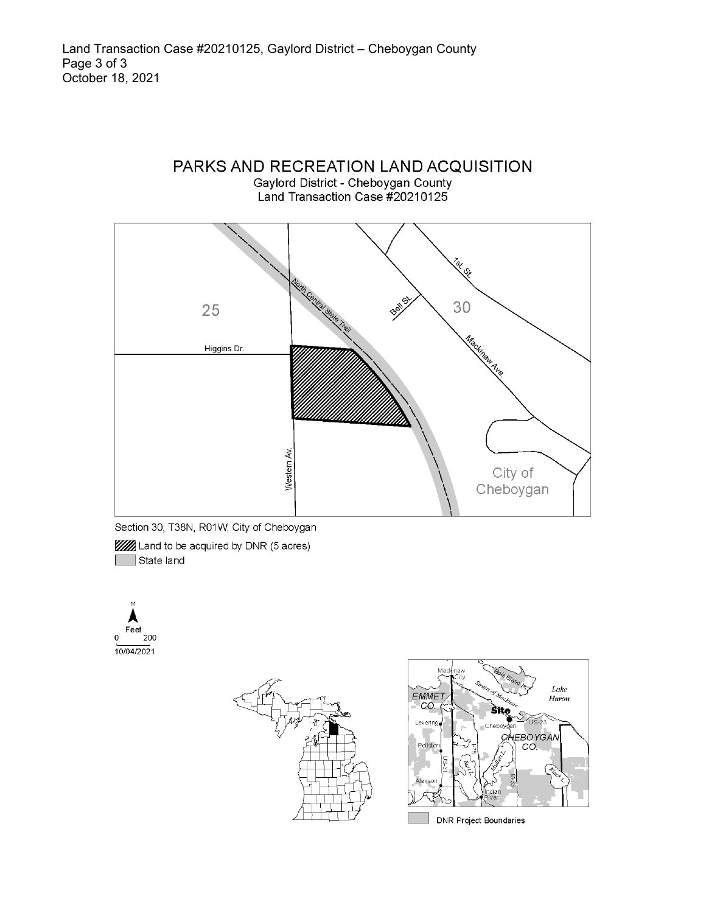# PARKS AND RECREATION LAND ACQUISITION Gaylord District - Cheboygan County<br>Land Transaction Case #20210125



Section 30, T38N, R01W, City of Cheboygan

**WA** Land to be acquired by DNR (5 acres)  $\Box$  State land Г





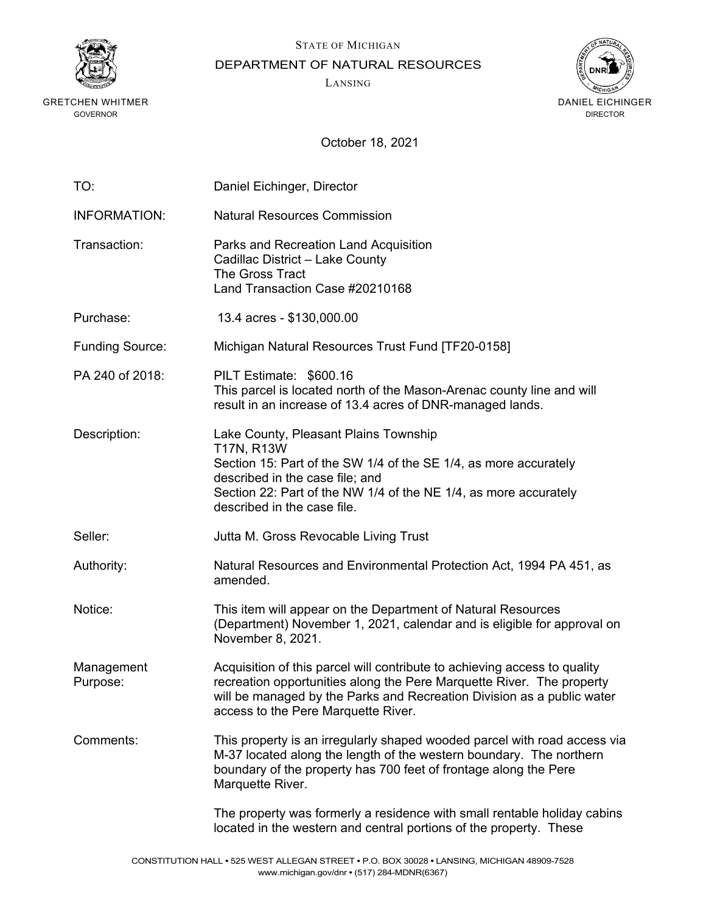



DEPARTMENT OF NATURAL RESOURCES

LANSING



| TO:                    | Daniel Eichinger, Director                                                                                                                                                                                                                                          |
|------------------------|---------------------------------------------------------------------------------------------------------------------------------------------------------------------------------------------------------------------------------------------------------------------|
| <b>INFORMATION:</b>    | <b>Natural Resources Commission</b>                                                                                                                                                                                                                                 |
| Transaction:           | Parks and Recreation Land Acquisition<br>Cadillac District - Lake County<br>The Gross Tract<br>Land Transaction Case #20210168                                                                                                                                      |
| Purchase:              | 13.4 acres - \$130,000.00                                                                                                                                                                                                                                           |
| <b>Funding Source:</b> | Michigan Natural Resources Trust Fund [TF20-0158]                                                                                                                                                                                                                   |
| PA 240 of 2018:        | PILT Estimate: \$600.16<br>This parcel is located north of the Mason-Arenac county line and will<br>result in an increase of 13.4 acres of DNR-managed lands.                                                                                                       |
| Description:           | Lake County, Pleasant Plains Township<br>T17N, R13W<br>Section 15: Part of the SW 1/4 of the SE 1/4, as more accurately<br>described in the case file; and<br>Section 22: Part of the NW 1/4 of the NE 1/4, as more accurately<br>described in the case file.       |
| Seller:                | Jutta M. Gross Revocable Living Trust                                                                                                                                                                                                                               |
| Authority:             | Natural Resources and Environmental Protection Act, 1994 PA 451, as<br>amended.                                                                                                                                                                                     |
| Notice:                | This item will appear on the Department of Natural Resources<br>(Department) November 1, 2021, calendar and is eligible for approval on<br>November 8, 2021.                                                                                                        |
| Management<br>Purpose: | Acquisition of this parcel will contribute to achieving access to quality<br>recreation opportunities along the Pere Marquette River. The property<br>will be managed by the Parks and Recreation Division as a public water<br>access to the Pere Marquette River. |
| Comments:              | This property is an irregularly shaped wooded parcel with road access via<br>M-37 located along the length of the western boundary. The northern<br>boundary of the property has 700 feet of frontage along the Pere<br>Marquette River.                            |
|                        | The property was formerly a residence with small rentable holiday cabins<br>located in the western and central portions of the property. These                                                                                                                      |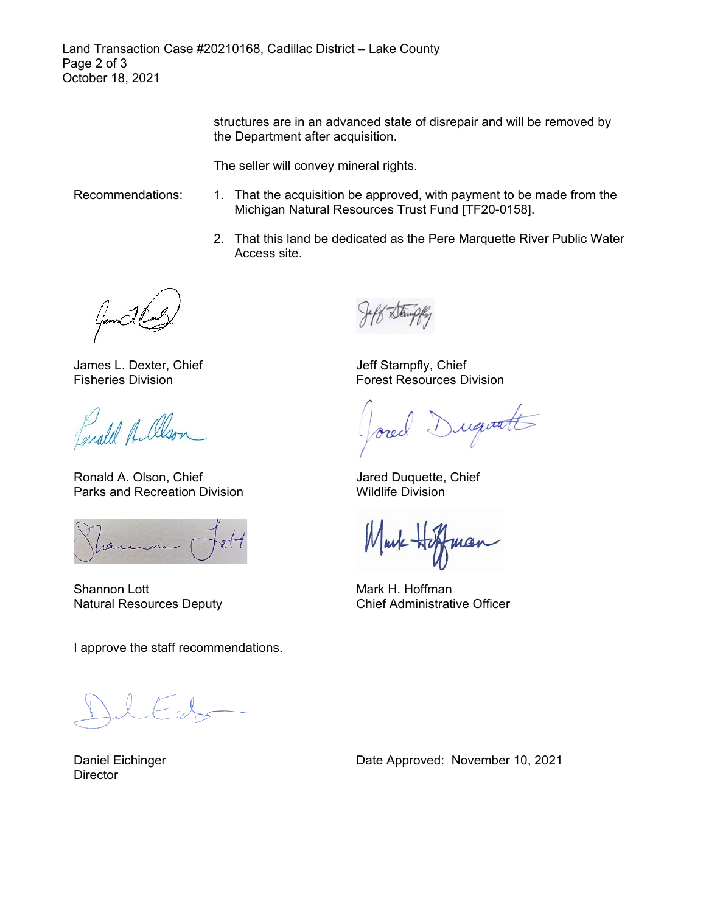structures are in an advanced state of disrepair and will be removed by the Department after acquisition.

The seller will convey mineral rights.

- Recommendations: 1. That the acquisition be approved, with payment to be made from the Michigan Natural Resources Trust Fund [TF20-0158].
	- 2. That this land be dedicated as the Pere Marquette River Public Water Access site.

James L. Dexter, Chief Fisheries Division

Fonald A. Olso.

Ronald A. Olson, Chief Parks and Recreation Division

ran

Shannon Lott Natural Resources Deputy

I approve the staff recommendations.

Daniel Eichinger **Director** 

Jeff Stampfly, Chief Forest Resources Division

Duquetts

Jared Duquette, Chief Wildlife Division

Mark He

Mark H. Hoffman Chief Administrative Officer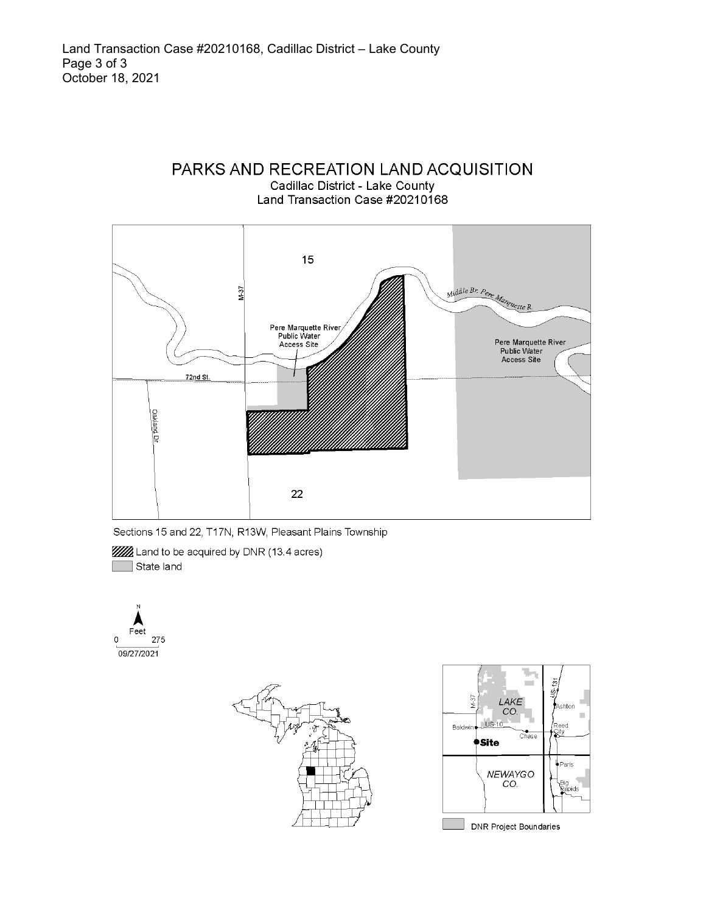



Sections 15 and 22, T17N, R13W, Pleasant Plains Township

**WA** Land to be acquired by DNR (13.4 acres) State land





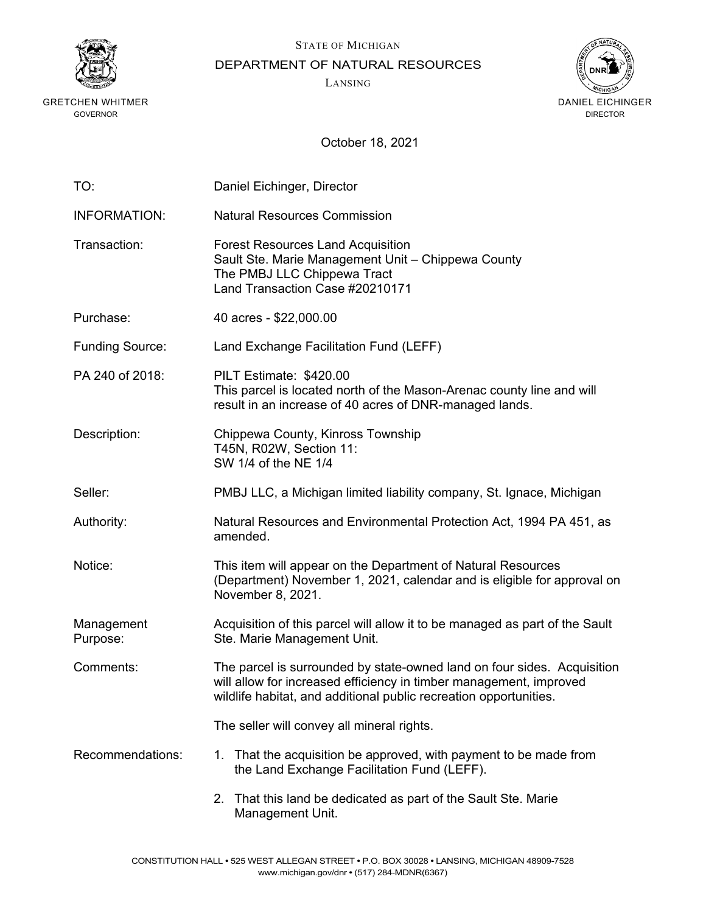



DEPARTMENT OF NATURAL RESOURCES

LANSING



| TO:                    | Daniel Eichinger, Director                                                                                                                                                                                         |
|------------------------|--------------------------------------------------------------------------------------------------------------------------------------------------------------------------------------------------------------------|
| <b>INFORMATION:</b>    | <b>Natural Resources Commission</b>                                                                                                                                                                                |
| Transaction:           | <b>Forest Resources Land Acquisition</b><br>Sault Ste. Marie Management Unit - Chippewa County<br>The PMBJ LLC Chippewa Tract<br>Land Transaction Case #20210171                                                   |
| Purchase:              | 40 acres - \$22,000.00                                                                                                                                                                                             |
| <b>Funding Source:</b> | Land Exchange Facilitation Fund (LEFF)                                                                                                                                                                             |
| PA 240 of 2018:        | PILT Estimate: \$420.00<br>This parcel is located north of the Mason-Arenac county line and will<br>result in an increase of 40 acres of DNR-managed lands.                                                        |
| Description:           | Chippewa County, Kinross Township<br>T45N, R02W, Section 11:<br>SW 1/4 of the NE 1/4                                                                                                                               |
| Seller:                | PMBJ LLC, a Michigan limited liability company, St. Ignace, Michigan                                                                                                                                               |
| Authority:             | Natural Resources and Environmental Protection Act, 1994 PA 451, as<br>amended.                                                                                                                                    |
| Notice:                | This item will appear on the Department of Natural Resources<br>(Department) November 1, 2021, calendar and is eligible for approval on<br>November 8, 2021.                                                       |
| Management<br>Purpose: | Acquisition of this parcel will allow it to be managed as part of the Sault<br>Ste. Marie Management Unit.                                                                                                         |
| Comments:              | The parcel is surrounded by state-owned land on four sides. Acquisition<br>will allow for increased efficiency in timber management, improved<br>wildlife habitat, and additional public recreation opportunities. |
|                        | The seller will convey all mineral rights.                                                                                                                                                                         |
| Recommendations:       | That the acquisition be approved, with payment to be made from<br>1.<br>the Land Exchange Facilitation Fund (LEFF).                                                                                                |
|                        | That this land be dedicated as part of the Sault Ste. Marie<br>2.<br>Management Unit.                                                                                                                              |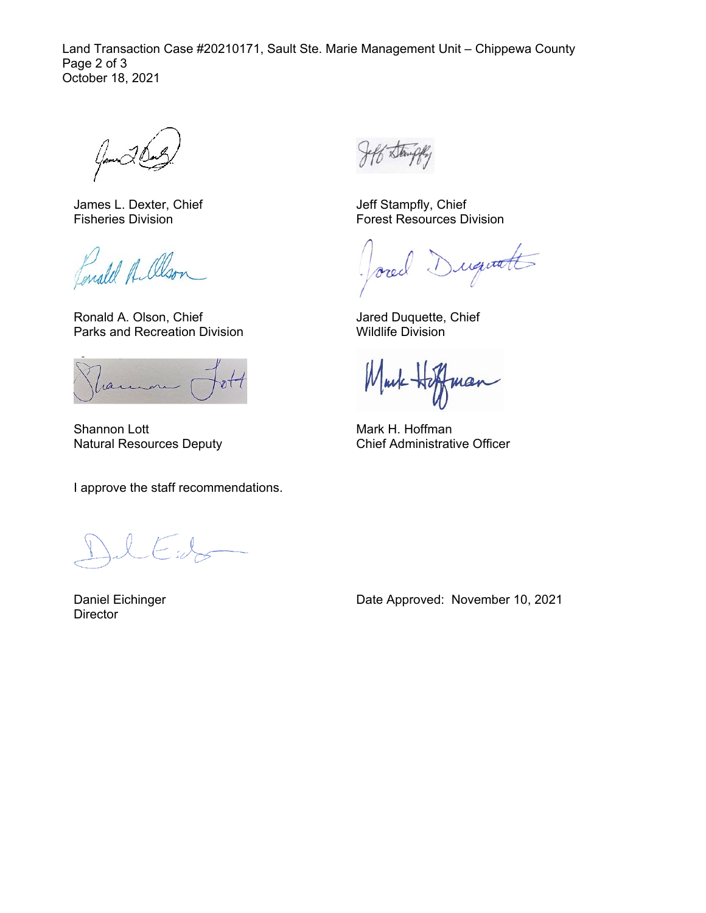Land Transaction Case #20210171, Sault Ste. Marie Management Unit – Chippewa County Page 2 of 3 October 18, 2021

James L. Dexter, Chief Fisheries Division

Fonald A. alson

Ronald A. Olson, Chief Parks and Recreation Division

ran

Shannon Lott Natural Resources Deputy

I approve the staff recommendations.

Daniel Eichinger **Director** 

Jeff Stampfly, Chief Forest Resources Division

iquatt  $\sqrt{ }$ orec

Jared Duquette, Chief Wildlife Division

Mark man

Mark H. Hoffman Chief Administrative Officer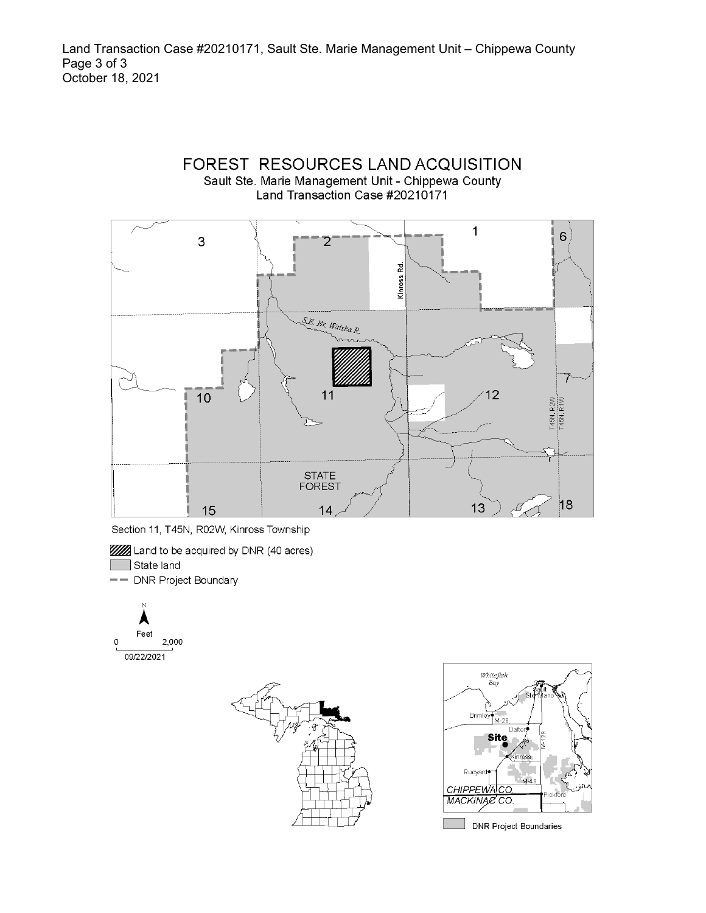



- **WA** Land to be acquired by DNR (40 acres)
- State land
- -- DNR Project Boundary





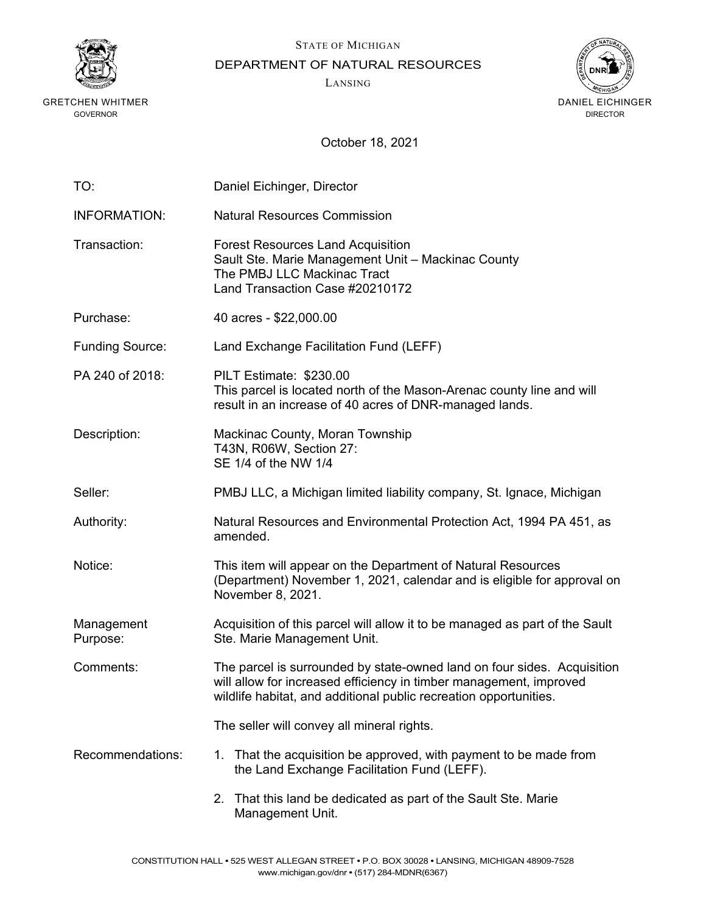



DEPARTMENT OF NATURAL RESOURCES

LANSING



| TO:                    | Daniel Eichinger, Director                                                                                                                                                                                         |
|------------------------|--------------------------------------------------------------------------------------------------------------------------------------------------------------------------------------------------------------------|
| <b>INFORMATION:</b>    | <b>Natural Resources Commission</b>                                                                                                                                                                                |
| Transaction:           | <b>Forest Resources Land Acquisition</b><br>Sault Ste. Marie Management Unit - Mackinac County<br>The PMBJ LLC Mackinac Tract<br>Land Transaction Case #20210172                                                   |
| Purchase:              | 40 acres - \$22,000.00                                                                                                                                                                                             |
| <b>Funding Source:</b> | Land Exchange Facilitation Fund (LEFF)                                                                                                                                                                             |
| PA 240 of 2018:        | PILT Estimate: \$230.00<br>This parcel is located north of the Mason-Arenac county line and will<br>result in an increase of 40 acres of DNR-managed lands.                                                        |
| Description:           | Mackinac County, Moran Township<br>T43N, R06W, Section 27:<br>SE 1/4 of the NW 1/4                                                                                                                                 |
| Seller:                | PMBJ LLC, a Michigan limited liability company, St. Ignace, Michigan                                                                                                                                               |
| Authority:             | Natural Resources and Environmental Protection Act, 1994 PA 451, as<br>amended.                                                                                                                                    |
| Notice:                | This item will appear on the Department of Natural Resources<br>(Department) November 1, 2021, calendar and is eligible for approval on<br>November 8, 2021.                                                       |
| Management<br>Purpose: | Acquisition of this parcel will allow it to be managed as part of the Sault<br>Ste. Marie Management Unit.                                                                                                         |
| Comments:              | The parcel is surrounded by state-owned land on four sides. Acquisition<br>will allow for increased efficiency in timber management, improved<br>wildlife habitat, and additional public recreation opportunities. |
|                        | The seller will convey all mineral rights.                                                                                                                                                                         |
| Recommendations:       | That the acquisition be approved, with payment to be made from<br>1.<br>the Land Exchange Facilitation Fund (LEFF).                                                                                                |
|                        | That this land be dedicated as part of the Sault Ste. Marie<br>2.<br>Management Unit.                                                                                                                              |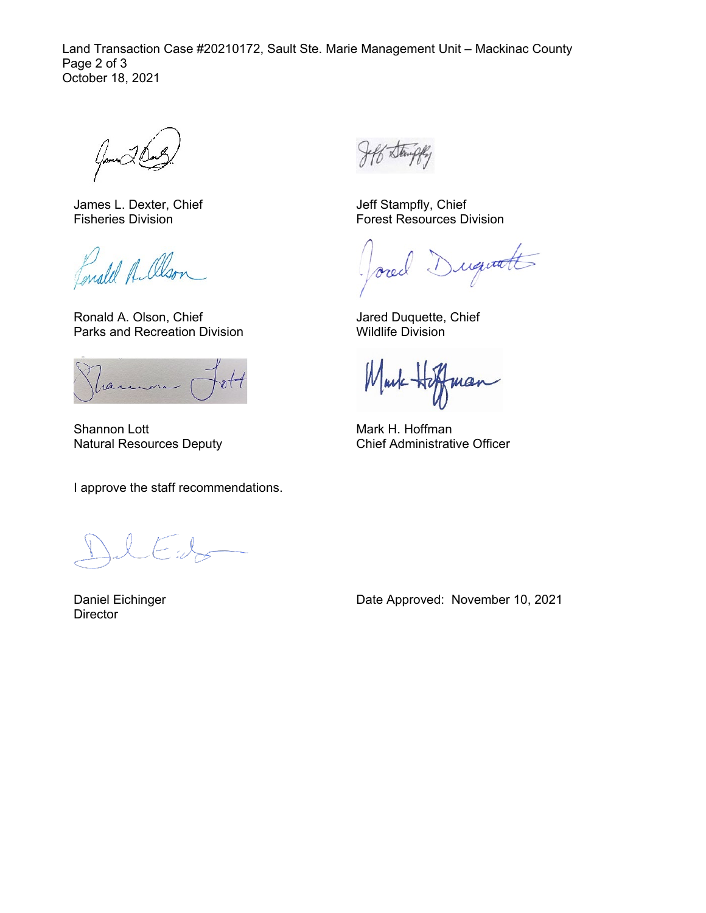Land Transaction Case #20210172, Sault Ste. Marie Management Unit – Mackinac County Page 2 of 3 October 18, 2021

James L. Dexter, Chief Fisheries Division

Lonald Albon

Ronald A. Olson, Chief Parks and Recreation Division

ran

Shannon Lott Natural Resources Deputy

I approve the staff recommendations.

Daniel Eichinger **Director** 

Jeff Stampfly, Chief Forest Resources Division

iquatt  $\sqrt{ }$ orec

Jared Duquette, Chief Wildlife Division

Mark man

Mark H. Hoffman Chief Administrative Officer